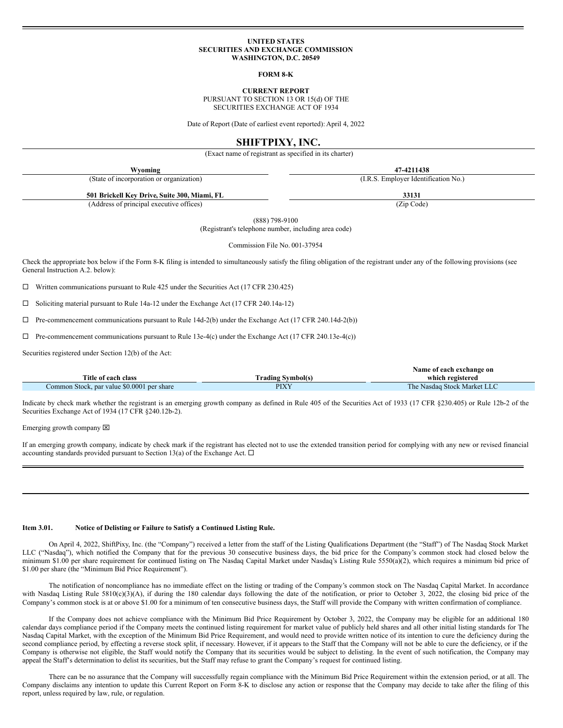## **UNITED STATES SECURITIES AND EXCHANGE COMMISSION WASHINGTON, D.C. 20549**

**FORM 8-K**

**CURRENT REPORT**

PURSUANT TO SECTION 13 OR 15(d) OF THE SECURITIES EXCHANGE ACT OF 1934

Date of Report (Date of earliest event reported): April 4, 2022

## **SHIFTPIXY, INC.**

(Exact name of registrant as specified in its charter)

| Wyoming                                      | 47-4211438                           |
|----------------------------------------------|--------------------------------------|
| (State of incorporation or organization)     | (I.R.S. Employer Identification No.) |
| 501 Brickell Key Drive, Suite 300, Miami, FL | 33131                                |
| (Address of principal executive offices)     | (Zip Code)                           |

(888) 798-9100

(Registrant's telephone number, including area code)

Commission File No. 001-37954

Check the appropriate box below if the Form 8-K filing is intended to simultaneously satisfy the filing obligation of the registrant under any of the following provisions (see General Instruction A.2. below):

 $\Box$  Written communications pursuant to Rule 425 under the Securities Act (17 CFR 230.425)

¨ Soliciting material pursuant to Rule 14a-12 under the Exchange Act (17 CFR 240.14a-12)

 $\Box$  Pre-commencement communications pursuant to Rule 14d-2(b) under the Exchange Act (17 CFR 240.14d-2(b))

 $\Box$  Pre-commencement communications pursuant to Rule 13e-4(c) under the Exchange Act (17 CFR 240.13e-4(c))

Securities registered under Section 12(b) of the Act:

|                                            |                          | Name of each exchange on    |
|--------------------------------------------|--------------------------|-----------------------------|
| Title of each class                        | <b>Frading Symbol(s)</b> | which registered            |
| Common Stock, par value \$0.0001 per share | PIXY                     | The Nasdag Stock Market LLC |

Indicate by check mark whether the registrant is an emerging growth company as defined in Rule 405 of the Securities Act of 1933 (17 CFR §230.405) or Rule 12b-2 of the Securities Exchange Act of 1934 (17 CFR §240.12b-2).

Emerging growth company  $\boxtimes$ 

If an emerging growth company, indicate by check mark if the registrant has elected not to use the extended transition period for complying with any new or revised financial accounting standards provided pursuant to Section 13(a) of the Exchange Act.  $\Box$ 

## **Item 3.01. Notice of Delisting or Failure to Satisfy a Continued Listing Rule.**

On April 4, 2022, ShiftPixy, Inc. (the "Company") received a letter from the staff of the Listing Qualifications Department (the "Staff") of The Nasdaq Stock Market LLC ("Nasdaq"), which notified the Company that for the previous 30 consecutive business days, the bid price for the Company's common stock had closed below the minimum \$1.00 per share requirement for continued listing on The Nasdaq Capital Market under Nasdaq's Listing Rule 5550(a)(2), which requires a minimum bid price of \$1.00 per share (the "Minimum Bid Price Requirement").

The notification of noncompliance has no immediate effect on the listing or trading of the Company's common stock on The Nasdaq Capital Market. In accordance with Nasdaq Listing Rule 5810(c)(3)(A), if during the 180 calendar days following the date of the notification, or prior to October 3, 2022, the closing bid price of the Company's common stock is at or above \$1.00 for a minimum of ten consecutive business days, the Staff will provide the Company with written confirmation of compliance.

If the Company does not achieve compliance with the Minimum Bid Price Requirement by October 3, 2022, the Company may be eligible for an additional 180 calendar days compliance period if the Company meets the continued listing requirement for market value of publicly held shares and all other initial listing standards for The Nasdaq Capital Market, with the exception of the Minimum Bid Price Requirement, and would need to provide written notice of its intention to cure the deficiency during the second compliance period, by effecting a reverse stock split, if necessary. However, if it appears to the Staff that the Company will not be able to cure the deficiency, or if the Company is otherwise not eligible, the Staff would notify the Company that its securities would be subject to delisting. In the event of such notification, the Company may appeal the Staff's determination to delist its securities, but the Staff may refuse to grant the Company's request for continued listing.

There can be no assurance that the Company will successfully regain compliance with the Minimum Bid Price Requirement within the extension period, or at all. The Company disclaims any intention to update this Current Report on Form 8-K to disclose any action or response that the Company may decide to take after the filing of this report, unless required by law, rule, or regulation.